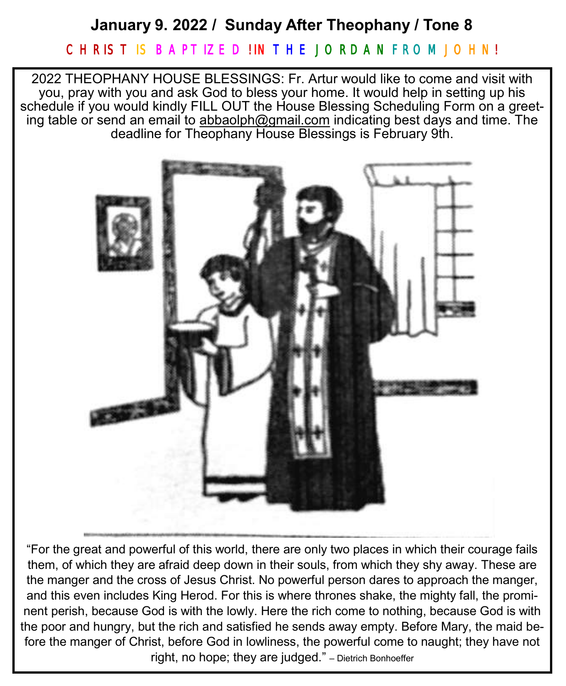## **January 9. 2022 / Sunday After Theophany / Tone 8**

### CHRIST IS BAPTIZE DIIN THE JORDAN FROM JOHN!

2022 THEOPHANY HOUSE BLESSINGS: Fr. Artur would like to come and visit with you, pray with you and ask God to bless your home. It would help in setting up his schedule if you would kindly FILL OUT the House Blessing Scheduling Form on a greeting table or send an email to [abbaolph@gmail.com](about:blank) indicating best days and time. The deadline for Theophany House Blessings is February 9th.



"For the great and powerful of this world, there are only two places in which their courage fails them, of which they are afraid deep down in their souls, from which they shy away. These are the manger and the cross of Jesus Christ. No powerful person dares to approach the manger, and this even includes King Herod. For this is where thrones shake, the mighty fall, the prominent perish, because God is with the lowly. Here the rich come to nothing, because God is with the poor and hungry, but the rich and satisfied he sends away empty. Before Mary, the maid before the manger of Christ, before God in lowliness, the powerful come to naught; they have not right, no hope; they are judged." – Dietrich Bonhoeffer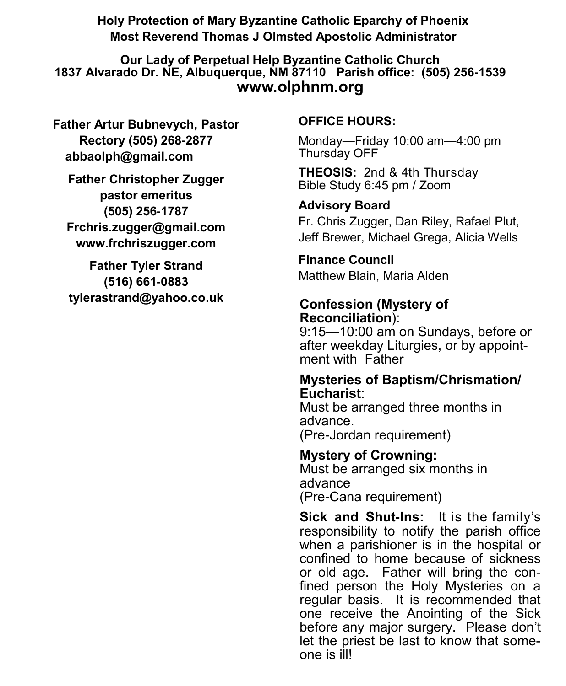**Holy Protection of Mary Byzantine Catholic Eparchy of Phoenix Most Reverend Thomas J Olmsted Apostolic Administrator** 

**Our Lady of Perpetual Help Byzantine Catholic Church 1837 Alvarado Dr. NE, Albuquerque, NM 87110 Parish office: (505) 256-1539 www.olphnm.org**

**Father Artur Bubnevych, Pastor Rectory (505) 268-2877 abbaolph@gmail.com** 

**Father Christopher Zugger pastor emeritus (505) 256-1787 Frchris.zugger@gmail.com www.frchriszugger.com** 

**Father Tyler Strand (516) 661-0883 tylerastrand@yahoo.co.uk**

### **OFFICE HOURS:**

Monday—Friday 10:00 am—4:00 pm Thursday OFF

**THEOSIS:** 2nd & 4th Thursday Bible Study 6:45 pm / Zoom

### **Advisory Board**

Fr. Chris Zugger, Dan Riley, Rafael Plut, Jeff Brewer, Michael Grega, Alicia Wells

# **Finance Council**

Matthew Blain, Maria Alden

### **Confession (Mystery of Reconciliation**):

9:15—10:00 am on Sundays, before or after weekday Liturgies, or by appointment with Father

### **Mysteries of Baptism/Chrismation/ Eucharist**:

Must be arranged three months in advance. (Pre-Jordan requirement)

## **Mystery of Crowning:**  Must be arranged six months in advance

(Pre-Cana requirement)

**Sick and Shut-Ins:** It is the family's responsibility to notify the parish office when a parishioner is in the hospital or confined to home because of sickness or old age. Father will bring the confined person the Holy Mysteries on a regular basis. It is recommended that one receive the Anointing of the Sick before any major surgery. Please don't let the priest be last to know that someone is ill!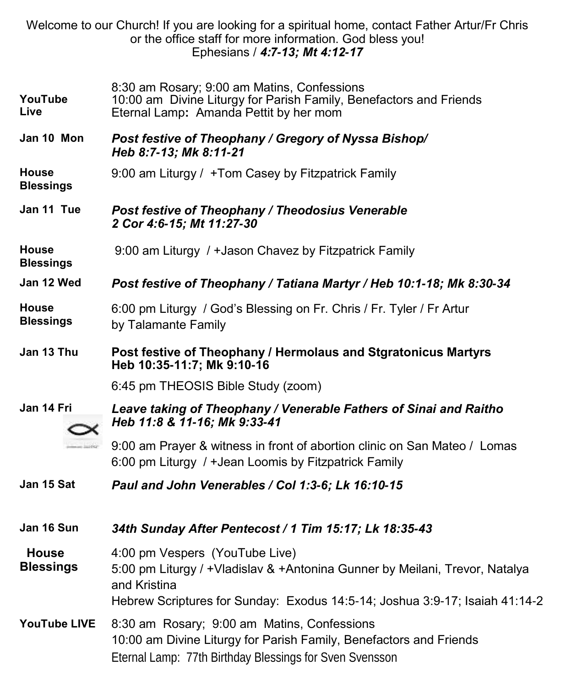|                                  | Welcome to our Church! If you are looking for a spiritual home, contact Father Artur/Fr Chris<br>or the office staff for more information. God bless you!<br>Ephesians / 4:7-13; Mt 4:12-17                  |
|----------------------------------|--------------------------------------------------------------------------------------------------------------------------------------------------------------------------------------------------------------|
| YouTube<br>Live                  | 8:30 am Rosary; 9:00 am Matins, Confessions<br>10:00 am Divine Liturgy for Parish Family, Benefactors and Friends<br>Eternal Lamp: Amanda Pettit by her mom                                                  |
| Jan 10 Mon                       | Post festive of Theophany / Gregory of Nyssa Bishop/<br>Heb 8:7-13; Mk 8:11-21                                                                                                                               |
| <b>House</b><br><b>Blessings</b> | 9:00 am Liturgy / +Tom Casey by Fitzpatrick Family                                                                                                                                                           |
| Jan 11 Tue                       | Post festive of Theophany / Theodosius Venerable<br>2 Cor 4:6-15; Mt 11:27-30                                                                                                                                |
| House<br><b>Blessings</b>        | 9:00 am Liturgy / + Jason Chavez by Fitzpatrick Family                                                                                                                                                       |
| Jan 12 Wed                       | Post festive of Theophany / Tatiana Martyr / Heb 10:1-18; Mk 8:30-34                                                                                                                                         |
| <b>House</b><br><b>Blessings</b> | 6:00 pm Liturgy / God's Blessing on Fr. Chris / Fr. Tyler / Fr Artur<br>by Talamante Family                                                                                                                  |
|                                  |                                                                                                                                                                                                              |
| Jan 13 Thu                       | Post festive of Theophany / Hermolaus and Stgratonicus Martyrs<br>Heb 10:35-11:7; Mk 9:10-16                                                                                                                 |
|                                  | 6:45 pm THEOSIS Bible Study (zoom)                                                                                                                                                                           |
| Jan 14 Fri                       | Leave taking of Theophany / Venerable Fathers of Sinai and Raitho<br>Heb 11:8 & 11-16; Mk 9:33-41                                                                                                            |
| - Justice                        | 9:00 am Prayer & witness in front of abortion clinic on San Mateo / Lomas<br>6:00 pm Liturgy / + Jean Loomis by Fitzpatrick Family                                                                           |
| Jan 15 Sat                       | Paul and John Venerables / Col 1:3-6; Lk 16:10-15                                                                                                                                                            |
| Jan 16 Sun                       | 34th Sunday After Pentecost / 1 Tim 15:17; Lk 18:35-43                                                                                                                                                       |
| <b>House</b><br><b>Blessings</b> | 4:00 pm Vespers (YouTube Live)<br>5:00 pm Liturgy / +Vladislav & +Antonina Gunner by Meilani, Trevor, Natalya<br>and Kristina<br>Hebrew Scriptures for Sunday: Exodus 14:5-14; Joshua 3:9-17; Isaiah 41:14-2 |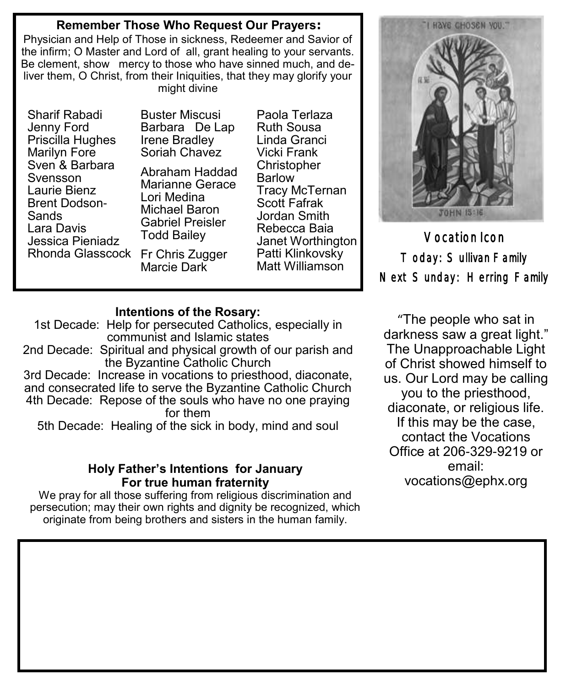#### **Remember Those Who Request Our Prayers:**

Physician and Help of Those in sickness, Redeemer and Savior of the infirm; O Master and Lord of all, grant healing to your servants. Be clement, show mercy to those who have sinned much, and deliver them, O Christ, from their Iniquities, that they may glorify your might divine

Sharif Rabadi Jenny Ford Priscilla Hughes Marilyn Fore Sven & Barbara Svensson Laurie Bienz Brent Dodson-Sands Lara Davis Jessica Pieniadz Rhonda Glasscock

Buster Miscusi Barbara De Lap Irene Bradley Soriah Chavez Abraham Haddad Marianne Gerace

Lori Medina Michael Baron Gabriel Preisler Todd Bailey Fr Chris Zugger Marcie Dark Ruth Sousa Linda Granci Vicki Frank **Christopher** Barlow Tracy McTernan Scott Fafrak Jordan Smith Rebecca Baia Janet Worthington Patti Klinkovsky Matt Williamson

Paola Terlaza

**Intentions of the Rosary:** 

1st Decade: Help for persecuted Catholics, especially in communist and Islamic states

2nd Decade: Spiritual and physical growth of our parish and the Byzantine Catholic Church

3rd Decade: Increase in vocations to priesthood, diaconate, and consecrated life to serve the Byzantine Catholic Church 4th Decade: Repose of the souls who have no one praying for them

5th Decade: Healing of the sick in body, mind and soul

#### **Holy Father's Intentions for January For true human fraternity**

We pray for all those suffering from religious discrimination and persecution; may their own rights and dignity be recognized, which originate from being brothers and sisters in the human family.



Vocation Icon Today: Sullivan Family Next Sunday: Herring Family

"The people who sat in darkness saw a great light." The Unapproachable Light of Christ showed himself to us. Our Lord may be calling you to the priesthood, diaconate, or religious life. If this may be the case, contact the Vocations Office at 206-329-9219 or email: [vocations@ephx.org](mailto:vocations@ephx.org%20)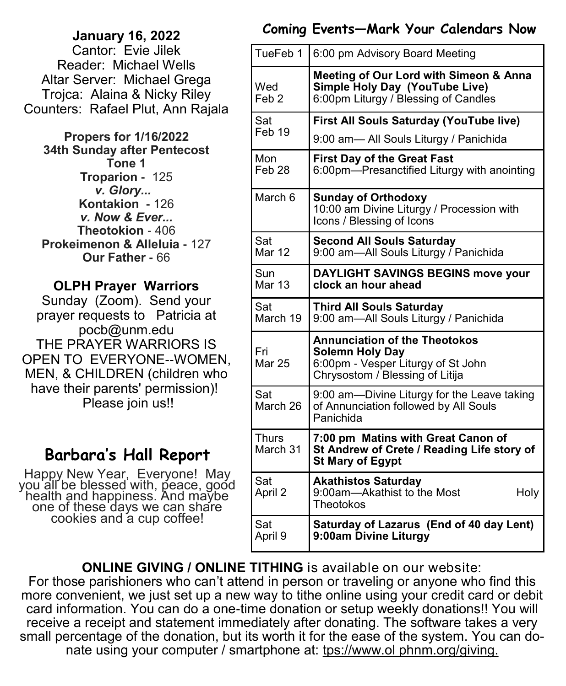# **January 16, 2022**

Cantor: Evie Jilek Reader: Michael Wells Altar Server: Michael Grega Trojca: Alaina & Nicky Riley Counters: Rafael Plut, Ann Rajala

**Propers for 1/16/2022 34th Sunday after Pentecost Tone 1 Troparion -** 125 *v. Glory...*  **Kontakion -** 126 *v. Now & Ever...* **Theotokion** - 406 **Prokeimenon & Alleluia -** 127 **Our Father -** 66

## **OLPH Prayer Warriors**

Sunday (Zoom). Send your prayer requests to Patricia at pocb@unm.edu THE PRAYER WARRIORS IS OPEN TO EVERYONE--WOMEN, MEN, & CHILDREN (children who have their parents' permission)! Please join us!!

# **Barbara's Hall Report**

Happy New Year, Everyone! May you all be blessed with, peace, good health and happiness. And maybe one of these days we can share cookies and a cup coffee!

## **Coming Events—Mark Your Calendars Now**

| TueFeb 1                 | 6:00 pm Advisory Board Meeting                                                                                                          |
|--------------------------|-----------------------------------------------------------------------------------------------------------------------------------------|
| Wed<br>Feb <sub>2</sub>  | <b>Meeting of Our Lord with Simeon &amp; Anna</b><br>Simple Holy Day (YouTube Live)<br>6:00pm Liturgy / Blessing of Candles             |
| Sat<br>Feb 19            | First All Souls Saturday (YouTube live)                                                                                                 |
|                          | 9:00 am- All Souls Liturgy / Panichida                                                                                                  |
| Mon<br>Feb 28            | <b>First Day of the Great Fast</b><br>6:00pm-Presanctified Liturgy with anointing                                                       |
| March 6                  | <b>Sunday of Orthodoxy</b><br>10:00 am Divine Liturgy / Procession with<br>Icons / Blessing of Icons                                    |
| Sat<br>Mar 12            | <b>Second All Souls Saturday</b><br>9:00 am-All Souls Liturgy / Panichida                                                               |
| Sun<br><b>Mar 13</b>     | <b>DAYLIGHT SAVINGS BEGINS move your</b><br>clock an hour ahead                                                                         |
| Sat<br>March 19          | <b>Third All Souls Saturday</b><br>9:00 am-All Souls Liturgy / Panichida                                                                |
| Fri<br><b>Mar 25</b>     | <b>Annunciation of the Theotokos</b><br><b>Solemn Holy Day</b><br>6:00pm - Vesper Liturgy of St John<br>Chrysostom / Blessing of Litija |
| Sat<br>March 26          | 9:00 am—Divine Liturgy for the Leave taking<br>of Annunciation followed by All Souls<br>Panichida                                       |
| <b>Thurs</b><br>March 31 | 7:00 pm Matins with Great Canon of<br>St Andrew of Crete / Reading Life story of<br><b>St Mary of Egypt</b>                             |
| Sat<br>April 2           | <b>Akathistos Saturday</b><br>9:00am-Akathist to the Most<br>Holy<br>Theotokos                                                          |
| Sat<br>April 9           | Saturday of Lazarus (End of 40 day Lent)<br>9:00am Divine Liturgy                                                                       |

**ONLINE GIVING / ONLINE TITHING** is available on our website:

For those parishioners who can't attend in person or traveling or anyone who find this more convenient, we just set up a new way to tithe online using your credit card or debit card information. You can do a one-time donation or setup weekly donations!! You will receive a receipt and statement immediately after donating. The software takes a very small percentage of the donation, but its worth it for the ease of the system. You can donate using your computer / smartphone at: tps://www.ol phnm.org/giving.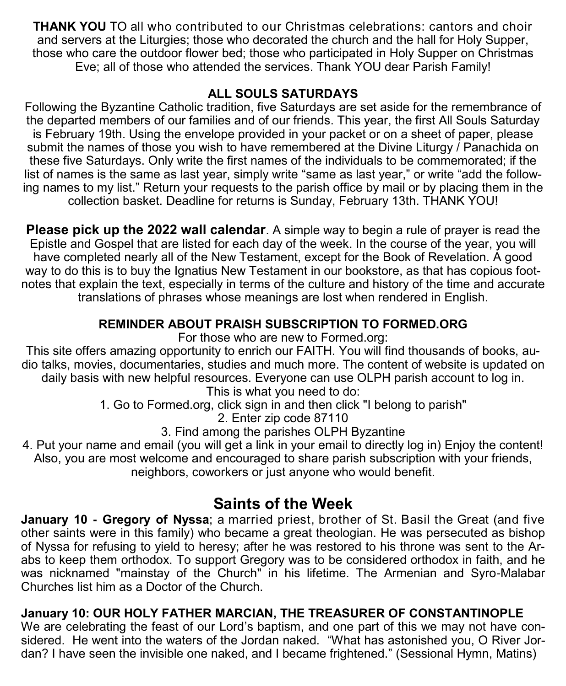**THANK YOU** TO all who contributed to our Christmas celebrations: cantors and choir and servers at the Liturgies; those who decorated the church and the hall for Holy Supper, those who care the outdoor flower bed; those who participated in Holy Supper on Christmas Eve; all of those who attended the services. Thank YOU dear Parish Family!

#### **ALL SOULS SATURDAYS**

Following the Byzantine Catholic tradition, five Saturdays are set aside for the remembrance of the departed members of our families and of our friends. This year, the first All Souls Saturday is February 19th. Using the envelope provided in your packet or on a sheet of paper, please submit the names of those you wish to have remembered at the Divine Liturgy / Panachida on these five Saturdays. Only write the first names of the individuals to be commemorated; if the list of names is the same as last year, simply write "same as last year," or write "add the following names to my list." Return your requests to the parish office by mail or by placing them in the collection basket. Deadline for returns is Sunday, February 13th. THANK YOU!

**Please pick up the 2022 wall calendar**. A simple way to begin a rule of prayer is read the Epistle and Gospel that are listed for each day of the week. In the course of the year, you will have completed nearly all of the New Testament, except for the Book of Revelation. A good way to do this is to buy the Ignatius New Testament in our bookstore, as that has copious footnotes that explain the text, especially in terms of the culture and history of the time and accurate translations of phrases whose meanings are lost when rendered in English.

## **REMINDER ABOUT PRAISH SUBSCRIPTION TO FORMED.ORG**

For those who are new to Formed.org:

This site offers amazing opportunity to enrich our FAITH. You will find thousands of books, audio talks, movies, documentaries, studies and much more. The content of website is updated on daily basis with new helpful resources. Everyone can use OLPH parish account to log in.

This is what you need to do:

1. Go to Formed.org, click sign in and then click "I belong to parish"

2. Enter zip code 87110

3. Find among the parishes OLPH Byzantine

4. Put your name and email (you will get a link in your email to directly log in) Enjoy the content! Also, you are most welcome and encouraged to share parish subscription with your friends, neighbors, coworkers or just anyone who would benefit.

## **Saints of the Week**

**January 10 - Gregory of Nyssa**; a married priest, brother of St. Basil the Great (and five other saints were in this family) who became a great theologian. He was persecuted as bishop of Nyssa for refusing to yield to heresy; after he was restored to his throne was sent to the Arabs to keep them orthodox. To support Gregory was to be considered orthodox in faith, and he was nicknamed "mainstay of the Church" in his lifetime. The Armenian and Syro-Malabar Churches list him as a Doctor of the Church.

### **January 10: OUR HOLY FATHER MARCIAN, THE TREASURER OF CONSTANTINOPLE**

We are celebrating the feast of our Lord's baptism, and one part of this we may not have considered. He went into the waters of the Jordan naked. "What has astonished you, O River Jordan? I have seen the invisible one naked, and I became frightened." (Sessional Hymn, Matins)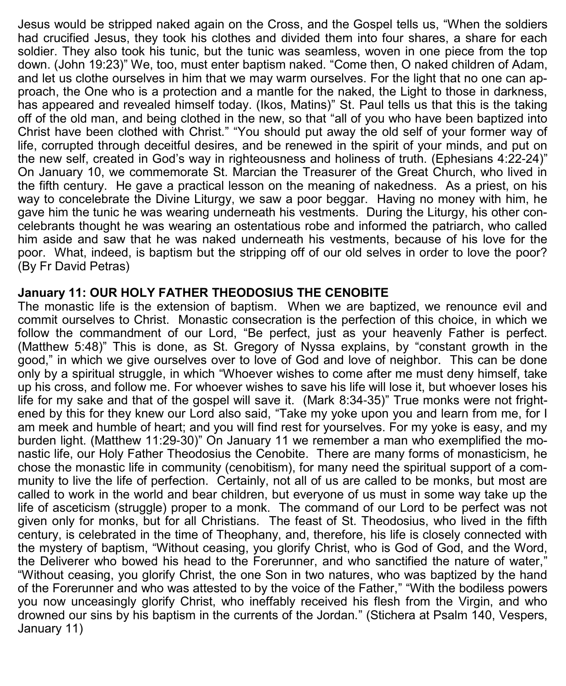Jesus would be stripped naked again on the Cross, and the Gospel tells us, "When the soldiers had crucified Jesus, they took his clothes and divided them into four shares, a share for each soldier. They also took his tunic, but the tunic was seamless, woven in one piece from the top down. (John 19:23)" We, too, must enter baptism naked. "Come then, O naked children of Adam, and let us clothe ourselves in him that we may warm ourselves. For the light that no one can approach, the One who is a protection and a mantle for the naked, the Light to those in darkness, has appeared and revealed himself today. (Ikos, Matins)" St. Paul tells us that this is the taking off of the old man, and being clothed in the new, so that "all of you who have been baptized into Christ have been clothed with Christ." "You should put away the old self of your former way of life, corrupted through deceitful desires, and be renewed in the spirit of your minds, and put on the new self, created in God's way in righteousness and holiness of truth. (Ephesians 4:22-24)" On January 10, we commemorate St. Marcian the Treasurer of the Great Church, who lived in the fifth century. He gave a practical lesson on the meaning of nakedness. As a priest, on his way to concelebrate the Divine Liturgy, we saw a poor beggar. Having no money with him, he gave him the tunic he was wearing underneath his vestments. During the Liturgy, his other concelebrants thought he was wearing an ostentatious robe and informed the patriarch, who called him aside and saw that he was naked underneath his vestments, because of his love for the poor. What, indeed, is baptism but the stripping off of our old selves in order to love the poor? (By Fr David Petras)

#### **January 11: OUR HOLY FATHER THEODOSIUS THE CENOBITE**

The monastic life is the extension of baptism. When we are baptized, we renounce evil and commit ourselves to Christ. Monastic consecration is the perfection of this choice, in which we follow the commandment of our Lord, "Be perfect, just as your heavenly Father is perfect. (Matthew 5:48)" This is done, as St. Gregory of Nyssa explains, by "constant growth in the good," in which we give ourselves over to love of God and love of neighbor. This can be done only by a spiritual struggle, in which "Whoever wishes to come after me must deny himself, take up his cross, and follow me. For whoever wishes to save his life will lose it, but whoever loses his life for my sake and that of the gospel will save it. (Mark 8:34-35)" True monks were not frightened by this for they knew our Lord also said, "Take my yoke upon you and learn from me, for I am meek and humble of heart; and you will find rest for yourselves. For my yoke is easy, and my burden light. (Matthew 11:29-30)" On January 11 we remember a man who exemplified the monastic life, our Holy Father Theodosius the Cenobite. There are many forms of monasticism, he chose the monastic life in community (cenobitism), for many need the spiritual support of a community to live the life of perfection. Certainly, not all of us are called to be monks, but most are called to work in the world and bear children, but everyone of us must in some way take up the life of asceticism (struggle) proper to a monk. The command of our Lord to be perfect was not given only for monks, but for all Christians. The feast of St. Theodosius, who lived in the fifth century, is celebrated in the time of Theophany, and, therefore, his life is closely connected with the mystery of baptism, "Without ceasing, you glorify Christ, who is God of God, and the Word, the Deliverer who bowed his head to the Forerunner, and who sanctified the nature of water," "Without ceasing, you glorify Christ, the one Son in two natures, who was baptized by the hand of the Forerunner and who was attested to by the voice of the Father," "With the bodiless powers you now unceasingly glorify Christ, who ineffably received his flesh from the Virgin, and who drowned our sins by his baptism in the currents of the Jordan." (Stichera at Psalm 140, Vespers, January 11)